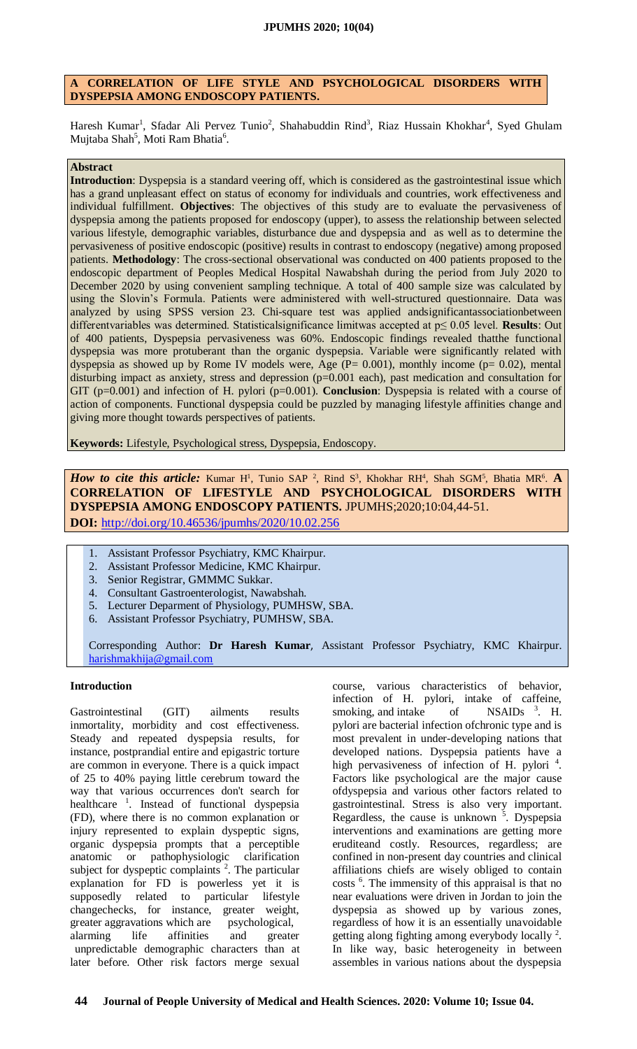# **A CORRELATION OF LIFE STYLE AND PSYCHOLOGICAL DISORDERS WITH DYSPEPSIA AMONG ENDOSCOPY PATIENTS.**

Haresh Kumar<sup>1</sup>, Sfadar Ali Pervez Tunio<sup>2</sup>, Shahabuddin Rind<sup>3</sup>, Riaz Hussain Khokhar<sup>4</sup>, Syed Ghulam Mujtaba Shah<sup>5</sup>, Moti Ram Bhatia<sup>6</sup>.

### **Abstract**

**Introduction**: Dyspepsia is a standard veering off, which is considered as the gastrointestinal issue which has a grand unpleasant effect on status of economy for individuals and countries, work effectiveness and individual fulfillment. **Objectives**: The objectives of this study are to evaluate the pervasiveness of dyspepsia among the patients proposed for endoscopy (upper), to assess the relationship between selected various lifestyle, demographic variables, disturbance due and dyspepsia and as well as to determine the pervasiveness of positive endoscopic (positive) results in contrast to endoscopy (negative) among proposed patients. **Methodology**: The cross-sectional observational was conducted on 400 patients proposed to the endoscopic department of Peoples Medical Hospital Nawabshah during the period from July 2020 to December 2020 by using convenient sampling technique. A total of 400 sample size was calculated by using the Slovin's Formula. Patients were administered with well-structured questionnaire. Data was analyzed by using SPSS version 23. Chi-square test was applied andsignificantassociationbetween differentvariables was determined. Statisticalsignificance limitwas accepted at p≤ 0.05 level. **Results**: Out of 400 patients, Dyspepsia pervasiveness was 60%. Endoscopic findings revealed thatthe functional dyspepsia was more protuberant than the organic dyspepsia. Variable were significantly related with dyspepsia as showed up by Rome IV models were, Age  $(P= 0.001)$ , monthly income  $(p= 0.02)$ , mental disturbing impact as anxiety, stress and depression (p=0.001 each), past medication and consultation for GIT (p=0.001) and infection of H. pylori (p=0.001). **Conclusion**: Dyspepsia is related with a course of action of components. Functional dyspepsia could be puzzled by managing lifestyle affinities change and giving more thought towards perspectives of patients.

**Keywords:** Lifestyle, Psychological stress, Dyspepsia, Endoscopy.

*How to cite this article:* Kumar H<sup>1</sup>, Tunio SAP<sup>2</sup>, Rind S<sup>3</sup>, Khokhar RH<sup>4</sup>, Shah SGM<sup>5</sup>, Bhatia MR<sup>6</sup>. **A CORRELATION OF LIFESTYLE AND PSYCHOLOGICAL DISORDERS WITH DYSPEPSIA AMONG ENDOSCOPY PATIENTS.** JPUMHS;2020;10:04,44-51. **DOI:** <http://doi.org/10.46536/jpumhs/2020/10.02.256>

- 1. Assistant Professor Psychiatry, KMC Khairpur.
- 2. Assistant Professor Medicine, KMC Khairpur.
- 3. Senior Registrar, GMMMC Sukkar.
- 4. Consultant Gastroenterologist, Nawabshah.
- 5. Lecturer Deparment of Physiology, PUMHSW, SBA.
- 6. Assistant Professor Psychiatry, PUMHSW, SBA.

Corresponding Author: **Dr Haresh Kumar**, Assistant Professor Psychiatry, KMC Khairpur. [harishmakhija@gmail.com](mailto:harishmakhija@gmail.com)

### **Introduction**

Gastrointestinal (GIT) ailments results inmortality, morbidity and cost effectiveness. Steady and repeated dyspepsia results, for instance, postprandial entire and epigastric torture are common in everyone. There is a quick impact of 25 to 40% paying little cerebrum toward the way that various occurrences don't search for healthcare <sup>1</sup>. Instead of functional dyspepsia (FD), where there is no common explanation or injury represented to explain dyspeptic signs, organic dyspepsia prompts that a perceptible anatomic or pathophysiologic clarification subject for dyspeptic complaints  $2$ . The particular explanation for FD is powerless yet it is supposedly related to particular lifestyle changechecks, for instance, greater weight, greater aggravations which are psychological, alarming life affinities and greater unpredictable demographic characters than at later before. Other risk factors merge sexual

course, various characteristics of behavior, infection of H. pylori, intake of caffeine, smoking, and intake of  $NSAIDs$ <sup>3</sup>. H. pylori are bacterial infection ofchronic type and is most prevalent in under-developing nations that developed nations. Dyspepsia patients have a high pervasiveness of infection of H. pylori<sup>4</sup>. Factors like psychological are the major cause ofdyspepsia and various other factors related to gastrointestinal. Stress is also very important. Regardless, the cause is unknown  $\overline{5}$ . Dyspepsia interventions and examinations are getting more eruditeand costly. Resources, regardless; are confined in non-present day countries and clinical affiliations chiefs are wisely obliged to contain costs <sup>6</sup>. The immensity of this appraisal is that no near evaluations were driven in Jordan to join the dyspepsia as showed up by various zones, regardless of how it is an essentially unavoidable getting along fighting among everybody locally  $2$ . In like way, basic heterogeneity in between assembles in various nations about the dyspepsia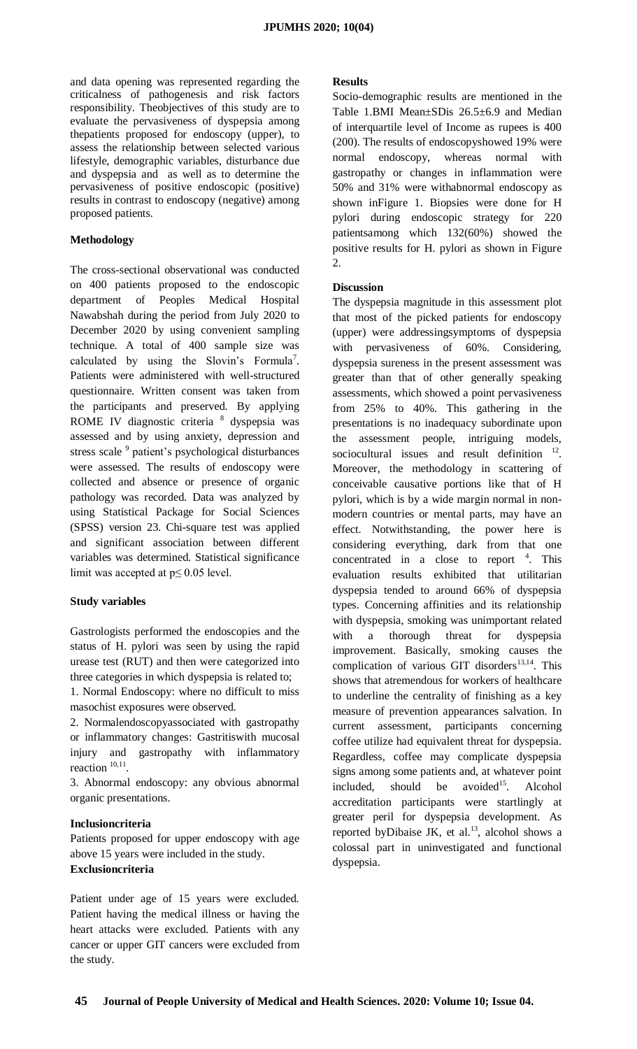and data opening was represented regarding the criticalness of pathogenesis and risk factors responsibility. Theobjectives of this study are to evaluate the pervasiveness of dyspepsia among thepatients proposed for endoscopy (upper), to assess the relationship between selected various lifestyle, demographic variables, disturbance due and dyspepsia and as well as to determine the pervasiveness of positive endoscopic (positive) results in contrast to endoscopy (negative) among proposed patients.

## **Methodology**

The cross-sectional observational was conducted on 400 patients proposed to the endoscopic department of Peoples Medical Hospital Nawabshah during the period from July 2020 to December 2020 by using convenient sampling technique. A total of 400 sample size was calculated by using the Slovin's Formula<sup>7</sup>. Patients were administered with well-structured questionnaire. Written consent was taken from the participants and preserved. By applying ROME IV diagnostic criteria<sup>8</sup> dyspepsia was assessed and by using anxiety, depression and stress scale <sup>9</sup> patient's psychological disturbances were assessed. The results of endoscopy were collected and absence or presence of organic pathology was recorded. Data was analyzed by using Statistical Package for Social Sciences (SPSS) version 23. Chi-square test was applied and significant association between different variables was determined. Statistical significance limit was accepted at  $p \le 0.05$  level.

# **Study variables**

Gastrologists performed the endoscopies and the status of H. pylori was seen by using the rapid urease test (RUT) and then were categorized into three categories in which dyspepsia is related to;

1. Normal Endoscopy: where no difficult to miss masochist exposures were observed.

2. Normalendoscopyassociated with gastropathy or inflammatory changes: Gastritiswith mucosal injury and gastropathy with inflammatory reaction  $10,11$ .

3. Abnormal endoscopy: any obvious abnormal organic presentations.

### **Inclusioncriteria**

Patients proposed for upper endoscopy with age above 15 years were included in the study. **Exclusioncriteria**

Patient under age of 15 years were excluded. Patient having the medical illness or having the heart attacks were excluded. Patients with any cancer or upper GIT cancers were excluded from the study.

#### **Results**

Socio-demographic results are mentioned in the Table 1.BMI Mean±SDis 26.5±6.9 and Median of interquartile level of Income as rupees is 400 (200). The results of endoscopyshowed 19% were normal endoscopy, whereas normal with gastropathy or changes in inflammation were 50% and 31% were withabnormal endoscopy as shown inFigure 1. Biopsies were done for H pylori during endoscopic strategy for 220 patientsamong which 132(60%) showed the positive results for H. pylori as shown in Figure  $\mathcal{L}$ 

## **Discussion**

The dyspepsia magnitude in this assessment plot that most of the picked patients for endoscopy (upper) were addressingsymptoms of dyspepsia with pervasiveness of 60%. Considering, dyspepsia sureness in the present assessment was greater than that of other generally speaking assessments, which showed a point pervasiveness from 25% to 40%. This gathering in the presentations is no inadequacy subordinate upon the assessment people, intriguing models, sociocultural issues and result definition  $12$ . Moreover, the methodology in scattering of conceivable causative portions like that of H pylori, which is by a wide margin normal in nonmodern countries or mental parts, may have an effect. Notwithstanding, the power here is considering everything, dark from that one concentrated in a close to report  $4$ . This evaluation results exhibited that utilitarian dyspepsia tended to around 66% of dyspepsia types. Concerning affinities and its relationship with dyspepsia, smoking was unimportant related with a thorough threat for dyspepsia improvement. Basically, smoking causes the complication of various GIT disorders $^{13,14}$ . This shows that atremendous for workers of healthcare to underline the centrality of finishing as a key measure of prevention appearances salvation. In current assessment, participants concerning coffee utilize had equivalent threat for dyspepsia. Regardless, coffee may complicate dyspepsia signs among some patients and, at whatever point included, should be avoided<sup>15</sup>. Alcohol accreditation participants were startlingly at greater peril for dyspepsia development. As reported byDibaise JK, et al.<sup>13</sup>, alcohol shows a colossal part in uninvestigated and functional dyspepsia.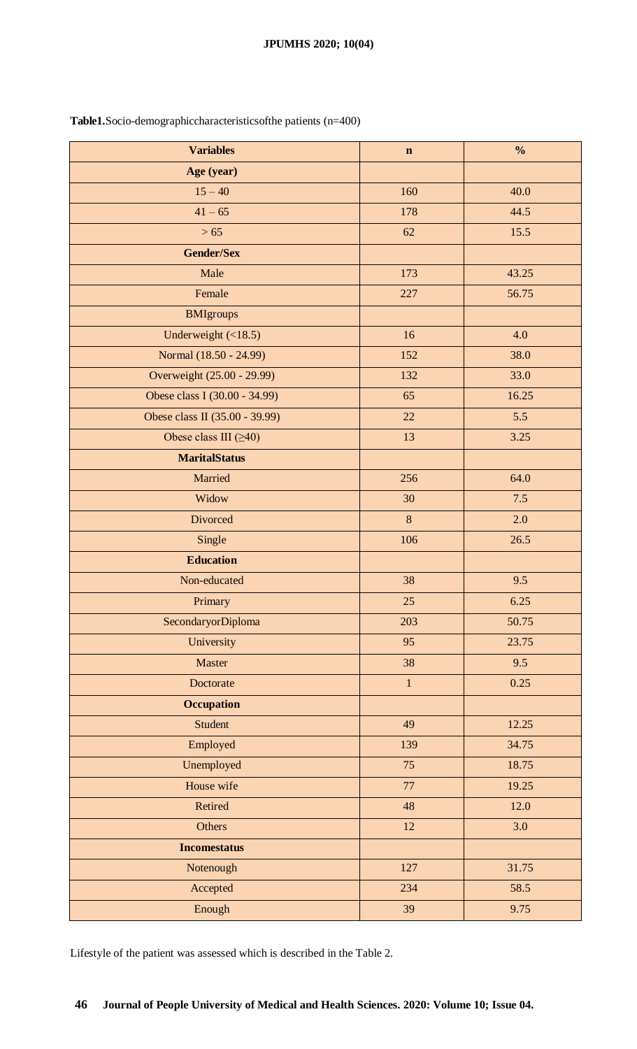# **JPUMHS 2020; 10(04)**

| <b>Variables</b>               | $\mathbf n$  | $\frac{0}{0}$ |
|--------------------------------|--------------|---------------|
| Age (year)                     |              |               |
| $15 - 40$                      | 160          | 40.0          |
| $41 - 65$                      | 178          | 44.5          |
| $>65$                          | 62           | 15.5          |
| <b>Gender/Sex</b>              |              |               |
| Male                           | 173          | 43.25         |
| Female                         | 227          | 56.75         |
| <b>BMIgroups</b>               |              |               |
| Underweight $(\leq 18.5)$      | 16           | 4.0           |
| Normal (18.50 - 24.99)         | 152          | 38.0          |
| Overweight (25.00 - 29.99)     | 132          | 33.0          |
| Obese class I (30.00 - 34.99)  | 65           | 16.25         |
| Obese class II (35.00 - 39.99) | 22           | 5.5           |
| Obese class III $(\geq 40)$    | 13           | 3.25          |
| <b>MaritalStatus</b>           |              |               |
| Married                        | 256          | 64.0          |
| Widow                          | 30           | 7.5           |
| Divorced                       | 8            | 2.0           |
| Single                         | 106          | 26.5          |
| <b>Education</b>               |              |               |
| Non-educated                   | 38           | 9.5           |
| Primary                        | 25           | 6.25          |
| SecondaryorDiploma             | 203          | 50.75         |
| University                     | 95           | 23.75         |
| Master                         | 38           | 9.5           |
| Doctorate                      | $\mathbf{1}$ | 0.25          |
| <b>Occupation</b>              |              |               |
| <b>Student</b>                 | 49           | 12.25         |
| Employed                       | 139          | 34.75         |
| Unemployed                     | 75           | 18.75         |
| House wife                     | 77           | 19.25         |
| Retired                        | 48           | 12.0          |
| Others                         | $12\,$       | 3.0           |
| <b>Incomestatus</b>            |              |               |
| Notenough                      | 127          | 31.75         |
| Accepted                       | 234          | 58.5          |
| Enough                         | 39           | 9.75          |

**Table1.**Socio-demographiccharacteristicsofthe patients (n=400)

Lifestyle of the patient was assessed which is described in the Table 2.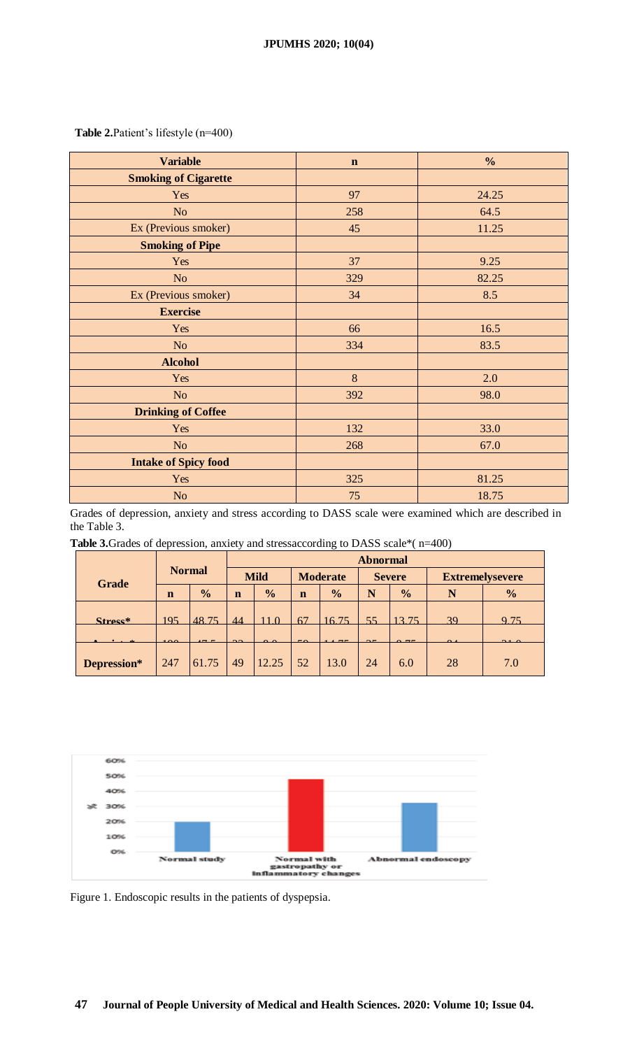**Table 2.**Patient's lifestyle (n=400)

| <b>Variable</b>             | $\mathbf n$ | $\frac{6}{6}$ |  |  |
|-----------------------------|-------------|---------------|--|--|
| <b>Smoking of Cigarette</b> |             |               |  |  |
| Yes                         | 97          | 24.25         |  |  |
| No                          | 258         | 64.5          |  |  |
| Ex (Previous smoker)        | 45          | 11.25         |  |  |
| <b>Smoking of Pipe</b>      |             |               |  |  |
| Yes                         | 37          | 9.25          |  |  |
| No                          | 329         | 82.25         |  |  |
| Ex (Previous smoker)        | 34          | 8.5           |  |  |
| <b>Exercise</b>             |             |               |  |  |
| Yes                         | 66          | 16.5          |  |  |
| No                          | 334         | 83.5          |  |  |
| <b>Alcohol</b>              |             |               |  |  |
| Yes                         | 8           | 2.0           |  |  |
| No                          | 392         | 98.0          |  |  |
| <b>Drinking of Coffee</b>   |             |               |  |  |
| Yes                         | 132         | 33.0          |  |  |
| N <sub>o</sub>              | 268         | 67.0          |  |  |
| <b>Intake of Spicy food</b> |             |               |  |  |
| Yes                         | 325         | 81.25         |  |  |
| No                          | 75          | 18.75         |  |  |

Grades of depression, anxiety and stress according to DASS scale were examined which are described in the Table 3.

**Table 3.**Grades of depression, anxiety and stressaccording to DASS scale\*( n=400)

|              |               |                          | <b>Abnormal</b> |               |                 |               |               |               |                        |                 |  |
|--------------|---------------|--------------------------|-----------------|---------------|-----------------|---------------|---------------|---------------|------------------------|-----------------|--|
| <b>Grade</b> | <b>Normal</b> |                          | <b>Mild</b>     |               | <b>Moderate</b> |               | <b>Severe</b> |               | <b>Extremelysevere</b> |                 |  |
|              | $\mathbf n$   | $\frac{0}{0}$            | $\mathbf n$     | $\frac{0}{0}$ | $\mathbf n$     | $\frac{1}{2}$ | N             | $\frac{0}{0}$ | N                      | $\frac{0}{0}$   |  |
| $Strategy$   | 195           | 48.75                    | 44              |               | 67              | 1675          | 55            | 13.75         | 30                     | Q <sub>75</sub> |  |
|              | $\sim$ $\sim$ | $\overline{\phantom{0}}$ | $\sim$          | $\sim$ $\sim$ | $\sim$ $\sim$   |               |               | $\sim$ $ -$   |                        |                 |  |
| Depression*  | 247           | 61.75                    | 49              | 12.25         | 52              | 13.0          | 24            | 6.0           | 28                     | 7.0             |  |



Figure 1. Endoscopic results in the patients of dyspepsia.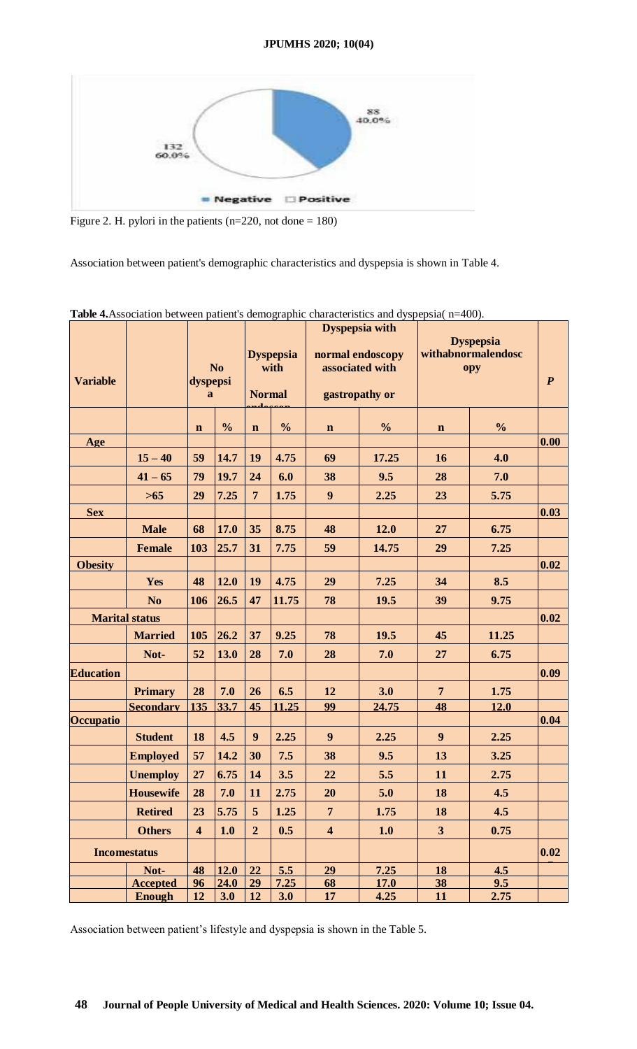

Figure 2. H. pylori in the patients (n=220, not done = 180)

Association between patient's demographic characteristics and dyspepsia is shown in Table 4.

| <b>Variable</b>  |                       | N <sub>0</sub><br>dyspepsi<br>a |               |                | <b>Dyspepsia with</b><br>normal endoscopy<br><b>Dyspepsia</b><br>associated with<br>with<br><b>Normal</b><br>gastropathy or |                              |       | <b>Dyspepsia</b><br>withabnormalendosc<br>opy | $\boldsymbol{P}$ |      |
|------------------|-----------------------|---------------------------------|---------------|----------------|-----------------------------------------------------------------------------------------------------------------------------|------------------------------|-------|-----------------------------------------------|------------------|------|
|                  |                       | $\mathbf n$                     | $\frac{0}{0}$ | $\mathbf n$    | $\frac{0}{0}$                                                                                                               | $\frac{0}{0}$<br>$\mathbf n$ |       | $\mathbf n$                                   | $\frac{0}{0}$    |      |
| Age              |                       |                                 |               |                |                                                                                                                             |                              |       |                                               |                  | 0.00 |
|                  | $15 - 40$             | 59                              | 14.7          | 19             | 4.75                                                                                                                        | 69                           | 17.25 | 16                                            | 4.0              |      |
|                  | $41 - 65$             | 79                              | 19.7          | 24             | 6.0                                                                                                                         | 38                           | 9.5   | 28                                            | 7.0              |      |
|                  | $>65$                 | 29                              | 7.25          | $\overline{7}$ | 1.75                                                                                                                        | 9                            | 2.25  | 23                                            | 5.75             |      |
| <b>Sex</b>       |                       |                                 |               |                |                                                                                                                             |                              |       |                                               |                  | 0.03 |
|                  | <b>Male</b>           | 68                              | 17.0          | 35             | 8.75                                                                                                                        | 48                           | 12.0  | 27                                            | 6.75             |      |
|                  | <b>Female</b>         | 103                             | 25.7          | 31             | 7.75                                                                                                                        | 59                           | 14.75 | 29                                            | 7.25             |      |
| <b>Obesity</b>   |                       |                                 |               |                |                                                                                                                             |                              |       |                                               |                  | 0.02 |
|                  | Yes                   | 48                              | 12.0          | 19             | 4.75                                                                                                                        | 29                           | 7.25  | 34                                            | 8.5              |      |
|                  | N <sub>0</sub>        | 106                             | 26.5          | 47             | 11.75                                                                                                                       | 78                           | 19.5  | 39                                            | 9.75             |      |
|                  | <b>Marital status</b> |                                 |               |                |                                                                                                                             |                              |       |                                               |                  | 0.02 |
|                  | <b>Married</b>        | 105                             | 26.2          | 37             | 9.25                                                                                                                        | 78                           | 19.5  | 45                                            | 11.25            |      |
|                  | Not-                  | 52                              | 13.0          | 28             | 7.0                                                                                                                         | 28                           | 7.0   | 27                                            | 6.75             |      |
| <b>Education</b> |                       |                                 |               |                |                                                                                                                             |                              |       |                                               |                  | 0.09 |
|                  | <b>Primary</b>        | 28                              | 7.0           | 26             | 6.5                                                                                                                         | 12                           | 3.0   | $\overline{7}$                                | 1.75             |      |
|                  | <b>Secondary</b>      | 135                             | 33.7          | 45             | 11.25                                                                                                                       | 99                           | 24.75 | 48                                            | 12.0             |      |
| Occupatio        |                       |                                 |               |                |                                                                                                                             |                              |       |                                               |                  | 0.04 |
|                  | <b>Student</b>        | 18                              | 4.5           | 9              | 2.25                                                                                                                        | 9                            | 2.25  | 9                                             | 2.25             |      |
|                  | <b>Employed</b>       | 57                              | 14.2          | 30             | 7.5                                                                                                                         | 38                           | 9.5   | 13                                            | 3.25             |      |
|                  | <b>Unemploy</b>       | 27                              | 6.75          | 14             | 3.5                                                                                                                         | 22                           | 5.5   | 11                                            | 2.75             |      |
|                  | <b>Housewife</b>      | 28                              | 7.0           | 11             | 2.75                                                                                                                        | <b>20</b>                    | 5.0   | <b>18</b>                                     | 4.5              |      |
|                  | <b>Retired</b>        | 23                              | 5.75          | 5              | 1.25                                                                                                                        | 7 <sup>1</sup>               | 1.75  | 18                                            | 4.5              |      |
|                  | <b>Others</b>         | $\overline{\mathbf{4}}$         | 1.0           | $\overline{2}$ | 0.5                                                                                                                         | $\overline{\mathbf{4}}$      | 1.0   | 3 <sup>1</sup>                                | 0.75             |      |
|                  | <b>Incomestatus</b>   |                                 |               |                |                                                                                                                             |                              |       |                                               |                  | 0.02 |
|                  | Not-                  | 48                              | $12.0$        | 22             | 5.5                                                                                                                         | 29                           | 7.25  | 18                                            | 4.5              |      |
|                  | <b>Accepted</b>       | 96                              | 24.0          | 29             | 7.25                                                                                                                        | 68                           | 17.0  | 38                                            | 9.5              |      |
|                  | <b>Enough</b>         | 12                              | 3.0           | 12             | 3.0                                                                                                                         | 17                           | 4.25  | 11                                            | 2.75             |      |

**Table 4.**Association between patient's demographic characteristics and dyspepsia( n=400).

Association between patient's lifestyle and dyspepsia is shown in the Table 5.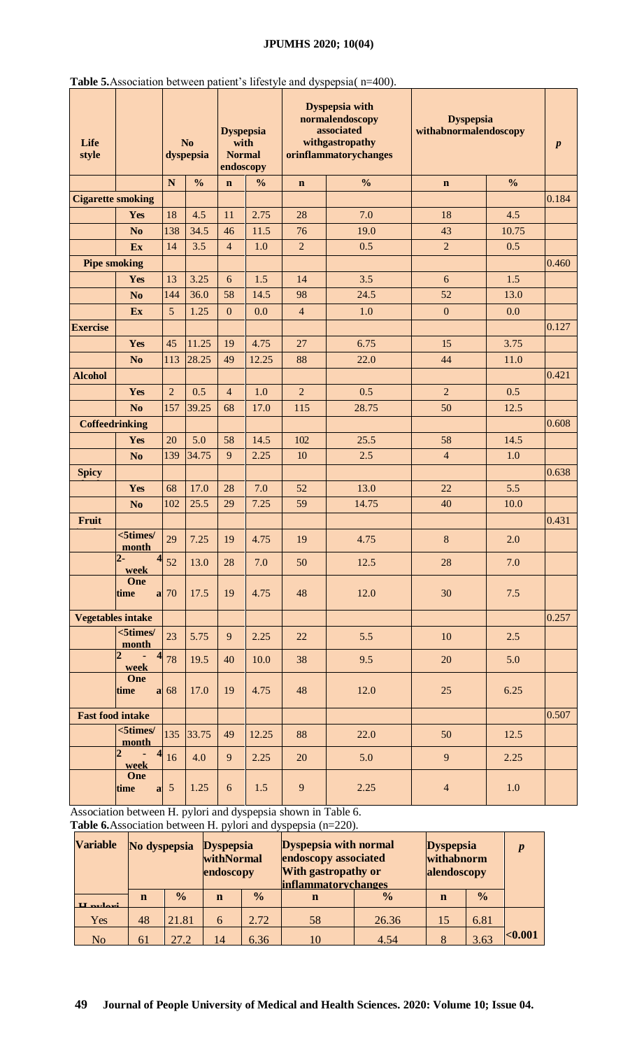# **JPUMHS 2020; 10(04)**

| Life<br>style            |                                                   |                   | N <sub>o</sub><br>dyspepsia | <b>Dyspepsia</b><br>with<br><b>Normal</b><br>endoscopy |               |                | Dyspepsia with<br>normalendoscopy<br>associated<br>withgastropathy<br>orinflammatorychanges | <b>Dyspepsia</b><br>withabnormalendoscopy | $\boldsymbol{p}$ |       |
|--------------------------|---------------------------------------------------|-------------------|-----------------------------|--------------------------------------------------------|---------------|----------------|---------------------------------------------------------------------------------------------|-------------------------------------------|------------------|-------|
|                          |                                                   | N                 | $\frac{0}{0}$               | $\mathbf n$                                            | $\frac{0}{0}$ | $\mathbf n$    | $\frac{0}{0}$                                                                               | $\mathbf n$                               | $\frac{0}{0}$    |       |
| <b>Cigarette smoking</b> |                                                   |                   |                             |                                                        |               |                |                                                                                             |                                           |                  | 0.184 |
|                          | Yes                                               | 18                | 4.5                         | 11                                                     | 2.75          | 28             | 7.0                                                                                         | 18                                        | 4.5              |       |
|                          | N <sub>0</sub>                                    | 138               | 34.5                        | 46                                                     | 11.5          | 76             | 19.0                                                                                        | 43                                        | 10.75            |       |
|                          | Ex                                                | 14                | 3.5                         | $\overline{4}$                                         | 1.0           | $\overline{2}$ | 0.5                                                                                         | $\overline{2}$                            | 0.5              |       |
| <b>Pipe smoking</b>      |                                                   |                   |                             |                                                        |               |                |                                                                                             |                                           |                  | 0.460 |
|                          | Yes                                               | 13                | 3.25                        | 6                                                      | 1.5           | 14             | 3.5                                                                                         | 6                                         | 1.5              |       |
|                          | N <sub>o</sub>                                    | 144               | 36.0                        | 58                                                     | 14.5          | 98             | 24.5                                                                                        | 52                                        | 13.0             |       |
|                          | Ex                                                | 5                 | 1.25                        | $\mathbf{0}$                                           | 0.0           | $\overline{4}$ | 1.0                                                                                         | $\boldsymbol{0}$                          | 0.0              |       |
| <b>Exercise</b>          |                                                   |                   |                             |                                                        |               |                |                                                                                             |                                           |                  | 0.127 |
|                          | Yes                                               | 45                | 11.25                       | 19                                                     | 4.75          | 27             | 6.75                                                                                        | 15                                        | 3.75             |       |
|                          | N <sub>o</sub>                                    | 113               | 28.25                       | 49                                                     | 12.25         | 88             | 22.0                                                                                        | 44                                        | 11.0             |       |
| <b>Alcohol</b>           |                                                   |                   |                             |                                                        |               |                |                                                                                             |                                           |                  | 0.421 |
|                          | Yes                                               | $\overline{2}$    | 0.5                         | $\overline{4}$                                         | 1.0           | $\overline{2}$ | 0.5                                                                                         | $\overline{2}$                            | 0.5              |       |
|                          | N <sub>0</sub>                                    | 157               | 39.25                       | 68                                                     | 17.0          | 115            | 28.75                                                                                       | 50                                        | 12.5             |       |
| <b>Coffeedrinking</b>    |                                                   |                   |                             |                                                        |               |                |                                                                                             |                                           |                  | 0.608 |
|                          | Yes                                               | 20                | 5.0                         | 58                                                     | 14.5          | 102            | 25.5                                                                                        | 58                                        | 14.5             |       |
|                          | N <sub>o</sub>                                    | 139               | 34.75                       | 9                                                      | 2.25          | 10             | 2.5                                                                                         | $\overline{4}$                            | 1.0              |       |
| <b>Spicy</b>             |                                                   |                   |                             |                                                        |               |                |                                                                                             |                                           |                  | 0.638 |
|                          | Yes                                               | 68                | 17.0                        | 28                                                     | 7.0           | 52             | 13.0                                                                                        | 22                                        | 5.5              |       |
|                          | N <sub>o</sub>                                    | 102               | 25.5                        | 29                                                     | 7.25          | 59             | 14.75                                                                                       | 40                                        | 10.0             |       |
| Fruit                    |                                                   |                   |                             |                                                        |               |                |                                                                                             |                                           |                  | 0.431 |
|                          | $<$ 5times/<br>month                              | 29                | 7.25                        | 19                                                     | 4.75          | 19             | 4.75                                                                                        | $\bf 8$                                   | 2.0              |       |
|                          | $2 -$<br>week                                     | $4_{52}$          | 13.0                        | 28                                                     | $7.0\,$       | 50             | 12.5                                                                                        | 28                                        | 7.0              |       |
|                          | One<br>time                                       | $a$ 70            | 17.5                        | 19                                                     | 4.75          | 48             | 12.0                                                                                        | 30                                        | 7.5              |       |
| <b>Vegetables intake</b> |                                                   |                   |                             |                                                        |               |                |                                                                                             |                                           |                  | 0.257 |
|                          | $<$ 5times $/$<br>month                           | 23                | 5.75                        | 9                                                      | 2.25          | 22             | 5.5                                                                                         | 10                                        | 2.5              |       |
|                          | 2<br>week                                         | 78                | 19.5                        | 40                                                     | 10.0          | 38             | 9.5                                                                                         | 20                                        | 5.0              |       |
|                          | One<br>time                                       | $a \overline{68}$ | 17.0                        | 19                                                     | 4.75          | 48             | 12.0                                                                                        | 25                                        | 6.25             |       |
| <b>Fast food intake</b>  |                                                   |                   |                             |                                                        |               |                |                                                                                             |                                           |                  | 0.507 |
|                          | $<$ 5times $/$<br>month                           | 135               | 33.75                       | 49                                                     | 12.25         | 88             | 22.0                                                                                        | 50                                        | 12.5             |       |
|                          | $\overline{\mathbf{A}}$<br>$\overline{2}$<br>week | 16                | 4.0                         | 9                                                      | 2.25          | 20             | 5.0                                                                                         | 9                                         | 2.25             |       |
|                          | One<br>time<br>a <sub>l</sub>                     | $\sqrt{5}$        | 1.25                        | $\boldsymbol{6}$                                       | $1.5$         | $\overline{9}$ | 2.25                                                                                        | $\overline{4}$                            | $1.0\,$          |       |

**Table 5.**Association between patient's lifestyle and dyspepsia( n=400).

Association between H. pylori and dyspepsia shown in Table 6.

**Table 6.**Association between H. pylori and dyspepsia (n=220).

| <b>Variable</b>          | No dyspepsia Dyspepsia<br>withNormal<br>endoscopy |               |             |               | <b>Dyspepsia with normal</b><br>endoscopy associated<br><b>With gastropathy or</b><br><i>inflammatorychanges</i> | <b>Dyspepsia</b><br>withabnorm<br>alendoscopy | $\boldsymbol{p}$ |               |         |
|--------------------------|---------------------------------------------------|---------------|-------------|---------------|------------------------------------------------------------------------------------------------------------------|-----------------------------------------------|------------------|---------------|---------|
| $U$ <sub>ny</sub> $ln n$ | $\mathbf n$                                       | $\frac{1}{2}$ | $\mathbf n$ | $\frac{0}{0}$ | $\mathbf n$                                                                                                      | $\frac{0}{0}$                                 | $\mathbf n$      | $\frac{1}{2}$ |         |
| Yes                      | 48                                                | 21.81         | 6           | 2.72          | 58                                                                                                               | 26.36                                         | 15               | 6.81          |         |
| N <sub>o</sub>           | 61                                                | 27.2          | 14          | 6.36          | 10                                                                                                               | 4.54                                          |                  | 3.63          | < 0.001 |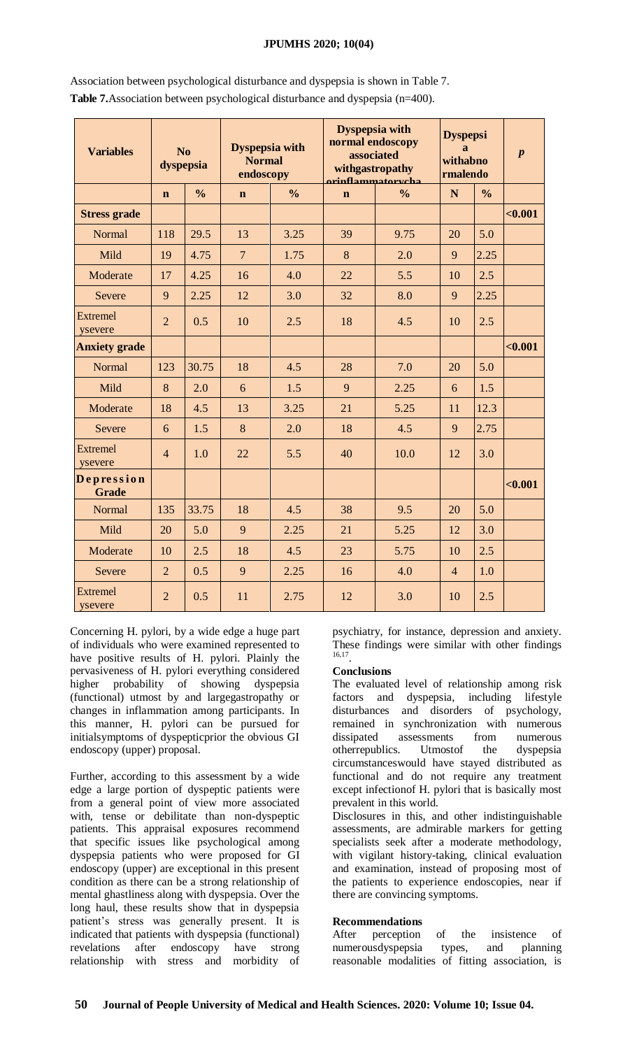# **JPUMHS 2020; 10(04)**

| <b>Variables</b>           |                | No<br>dyspepsia | <b>Dyspepsia with</b><br><b>Normal</b><br>endoscopy |               | <b>Dyspepsia with</b><br>normal endoscopy<br>associated<br>withgastropathy<br><u>orinflammatorycha</u> | <b>Dyspepsi</b><br>$\mathbf{a}$<br>withabno<br>rmalendo | $\boldsymbol{p}$ |               |         |
|----------------------------|----------------|-----------------|-----------------------------------------------------|---------------|--------------------------------------------------------------------------------------------------------|---------------------------------------------------------|------------------|---------------|---------|
|                            | $\mathbf n$    | $\frac{0}{0}$   | $\mathbf n$                                         | $\frac{0}{0}$ | $\mathbf{n}$                                                                                           | $\frac{0}{0}$                                           | N                | $\frac{0}{0}$ |         |
| <b>Stress grade</b>        |                |                 |                                                     |               |                                                                                                        |                                                         |                  |               | $0.001$ |
| Normal                     | 118            | 29.5            | 13                                                  | 3.25          | 39                                                                                                     | 9.75                                                    | 20               | 5.0           |         |
| Mild                       | 19             | 4.75            | $\overline{7}$                                      | 1.75          | 8                                                                                                      | 2.0                                                     | 9                | 2.25          |         |
| Moderate                   | 17             | 4.25            | 16                                                  | 4.0           | 22                                                                                                     | 5.5                                                     | 10               | 2.5           |         |
| Severe                     | 9              | 2.25            | 12                                                  | 3.0           | 32                                                                                                     | 8.0                                                     | 9                | 2.25          |         |
| Extremel<br>vsevere        | $\overline{2}$ | 0.5             | 10                                                  | 2.5           | 18                                                                                                     | 4.5                                                     | 10               | 2.5           |         |
| <b>Anxiety grade</b>       |                |                 |                                                     |               |                                                                                                        |                                                         |                  |               | $0.001$ |
| Normal                     | 123            | 30.75           | 18                                                  | 4.5           | 28                                                                                                     | 7.0                                                     | 20               | 5.0           |         |
| Mild                       | 8              | 2.0             | 6                                                   | 1.5           | 9                                                                                                      | 2.25                                                    | 6                | 1.5           |         |
| Moderate                   | 18             | 4.5             | 13                                                  | 3.25          | 21                                                                                                     | 5.25                                                    | 11               | 12.3          |         |
| Severe                     | 6              | 1.5             | 8                                                   | 2.0           | 18                                                                                                     | 4.5                                                     | 9                | 2.75          |         |
| <b>Extremel</b><br>ysevere | $\overline{4}$ | 1.0             | 22                                                  | 5.5           | 40                                                                                                     | 10.0                                                    | 12               | 3.0           |         |
| Depression<br><b>Grade</b> |                |                 |                                                     |               |                                                                                                        |                                                         |                  |               | $0.001$ |
| Normal                     | 135            | 33.75           | 18                                                  | 4.5           | 38                                                                                                     | 9.5                                                     | 20               | 5.0           |         |
| Mild                       | 20             | 5.0             | 9                                                   | 2.25          | 21                                                                                                     | 5.25                                                    | 12               | 3.0           |         |
| Moderate                   | 10             | 2.5             | 18                                                  | 4.5           | 23                                                                                                     | 5.75                                                    | 10               | 2.5           |         |
| Severe                     | $\overline{2}$ | 0.5             | 9                                                   | 2.25          | 16                                                                                                     | 4.0                                                     | $\overline{4}$   | 1.0           |         |
| <b>Extremel</b><br>ysevere | $\overline{2}$ | 0.5             | 11                                                  | 2.75          | 12                                                                                                     | 3.0                                                     | 10               | 2.5           |         |

Association between psychological disturbance and dyspepsia is shown in Table 7. **Table 7.**Association between psychological disturbance and dyspepsia (n=400).

Concerning H. pylori, by a wide edge a huge part of individuals who were examined represented to have positive results of H. pylori. Plainly the pervasiveness of H. pylori everything considered higher probability of showing dyspepsia (functional) utmost by and largegastropathy or changes in inflammation among participants. In this manner, H. pylori can be pursued for initialsymptoms of dyspepticprior the obvious GI endoscopy (upper) proposal.

Further, according to this assessment by a wide edge a large portion of dyspeptic patients were from a general point of view more associated with, tense or debilitate than non-dyspeptic patients. This appraisal exposures recommend that specific issues like psychological among dyspepsia patients who were proposed for GI endoscopy (upper) are exceptional in this present condition as there can be a strong relationship of mental ghastliness along with dyspepsia. Over the long haul, these results show that in dyspepsia patient's stress was generally present. It is indicated that patients with dyspepsia (functional) revelations after endoscopy have strong relationship with stress and morbidity of

psychiatry, for instance, depression and anxiety. These findings were similar with other findings 16,17 .

# **Conclusions**

The evaluated level of relationship among risk factors and dyspepsia, including lifestyle disturbances and disorders of psychology, remained in synchronization with numerous dissipated assessments from numerous otherrepublics. Utmostof the dyspepsia circumstanceswould have stayed distributed as functional and do not require any treatment except infectionof H. pylori that is basically most prevalent in this world.

Disclosures in this, and other indistinguishable assessments, are admirable markers for getting specialists seek after a moderate methodology, with vigilant history-taking, clinical evaluation and examination, instead of proposing most of the patients to experience endoscopies, near if there are convincing symptoms.

# **Recommendations**

After perception of the insistence of numerousdyspepsia types, and planning reasonable modalities of fitting association, is